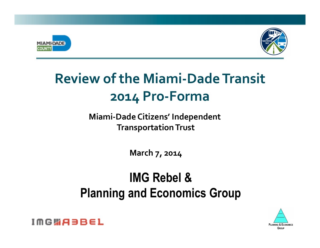



# **Review of the Miami-Dade Transit 2014&Pro.Forma**

#### **Miami-Dade Citizens' Independent Transportation Trust**

**March 7, 2014** 

## **IMG Rebel & Planning and Economics Group**



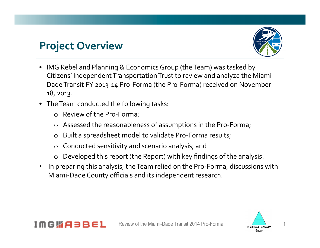#### **Project Overview**



- IMG Rebel and Planning & Economics Group (the Team) was tasked by Citizens' Independent Transportation Trust to review and analyze the Miami-Dade Transit FY 2013-14 Pro-Forma (the Pro-Forma) received on November 18, 2013.
- The Team conducted the following tasks:
	- $\circ$  Review of the Pro-Forma;
	- $\circ$  Assessed the reasonableness of assumptions in the Pro-Forma;
	- $\circ$  Built a spreadsheet model to validate Pro-Forma results;
	- $\circ$  Conducted sensitivity and scenario analysis; and
	- Developed this report (the Report) with key findings of the analysis.
- In preparing this analysis, the Team relied on the Pro-Forma, discussions with Miami-Dade County officials and its independent research.



#### 1MGW83B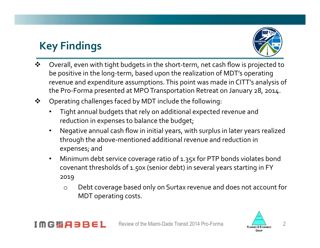## **Key Findings**



- Overall, even with tight budgets in the short-term, net cash flow is projected to be positive in the long-term, based upon the realization of MDT's operating revenue and expenditure assumptions. This point was made in CITT's analysis of the Pro-Forma presented at MPO Transportation Retreat on January 28, 2014.
- ❖ Operating challenges faced by MDT include the following:
	- Tight annual budgets that rely on additional expected revenue and reduction in expenses to balance the budget;
	- Negative annual cash flow in initial years, with surplus in later years realized through the above-mentioned additional revenue and reduction in expenses; and
	- Minimum debt service coverage ratio of 1.35x for PTP bonds violates bond covenant thresholds of 1.50x (senior debt) in several years starting in FY 2019!
		- o Debt coverage based only on Surtax revenue and does not account for MDT operating costs.



#### 1MG哪只380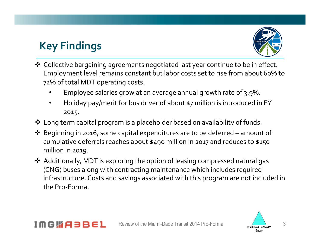## **Key Findings**



- \* Collective bargaining agreements negotiated last year continue to be in effect. Employment level remains constant but labor costs set to rise from about 60% to 72% of total MDT operating costs.
	- Employee salaries grow at an average annual growth rate of 3.9%.
	- Holiday pay/merit for bus driver of about \$7 million is introduced in FY 2015.
- $\clubsuit$  Long term capital program is a placeholder based on availability of funds.
- \* Beginning in 2016, some capital expenditures are to be deferred amount of cumulative deferrals reaches about \$490 million in 2017 and reduces to \$150 million in 2019.
- ◆ Additionally, MDT is exploring the option of leasing compressed natural gas (CNG) buses along with contracting maintenance which includes required infrastructure. Costs and savings associated with this program are not included in the Pro-Forma



#### IMGWA3BE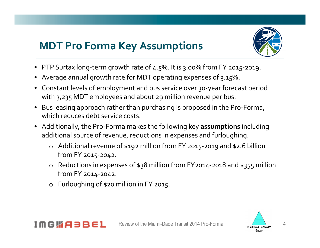## **MDT Pro Forma Key Assumptions**



- FTP Surtax long-term growth rate of  $4.5\%$ . It is 3.00% from FY 2015-2019.
- Average annual growth rate for MDT operating expenses of 3.15%.
- Constant levels of employment and bus service over 30-year forecast period with 3,235 MDT employees and about 29 million revenue per bus.
- Bus leasing approach rather than purchasing is proposed in the Pro-Forma, which reduces debt service costs.
- Additionally, the Pro-Forma makes the following key assumptions including additional source of revenue, reductions in expenses and furloughing.
	- $\circ$  Additional revenue of \$192 million from FY 2015-2019 and \$2.6 billion from FY 2015-2042.
	- $\circ$  Reductions in expenses of \$38 million from FY2014-2018 and \$355 million from FY 2014-2042.
	- $\circ$  Furloughing of \$20 million in FY 2015.



#### IMGWABBE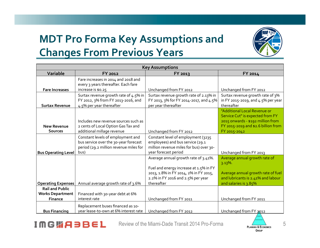## **MDT Pro Forma Key Assumptions and Changes From Previous Years**



| <b>Key Assumptions</b>                                              |                                                                                                                              |                                                                                                                                           |                                                                                                                                                              |
|---------------------------------------------------------------------|------------------------------------------------------------------------------------------------------------------------------|-------------------------------------------------------------------------------------------------------------------------------------------|--------------------------------------------------------------------------------------------------------------------------------------------------------------|
| Variable                                                            | FY 2012                                                                                                                      | <b>FY 2013</b>                                                                                                                            | FY 2014                                                                                                                                                      |
| <b>Fare Increases</b>                                               | Fare increases in 2014 and 2018 and<br>every 3 years thereafter. Each fare<br>increase is \$0.25                             | Unchanged from FY 2012                                                                                                                    | Unchanged from FY 2012                                                                                                                                       |
| <b>Surtax Revenue</b>                                               | Surtax revenue growth rate of 4.5% in<br>FY 2012, 3% from FY 2013-2016, and<br>4.5% per year thereafter                      | Surtax revenue growth rate of 2.13% in<br>FY 2013, 3% for FY 2014-2017, and 4.5%<br>per year thereafter                                   | Surtax revenue growth rate of 3%<br>in FY 2015-2019, and 4.5% per year<br>thereafter                                                                         |
| <b>New Revenue</b><br><b>Sources</b>                                | Includes new revenue sources such as<br>2 cents of Local Option Gas Tax and<br>additional millage revenue                    | Unchanged from FY 2012                                                                                                                    | "Additional Local Revenue or<br>Service Cut" is expected from FY<br>2015 onwards - \$192 million from<br>FY 2015-2019 and \$2.6 billion from<br>FY 2015-2042 |
| <b>Bus Operating Level</b>                                          | Constant levels of employment and<br>bus service over the 30-year forecast<br>period (29.2 million revenue miles for<br>bus) | Constant level of employment (3235<br>employees) and bus service (29.1<br>million revenue miles for bus) over 30-<br>year forecast period | Unchanged from FY 2013                                                                                                                                       |
|                                                                     |                                                                                                                              | Average annual growth rate of 3.41%.<br>Fuel and energy increase at 1.5% in FY                                                            | Average annual growth rate of<br>$3.13\%$ .                                                                                                                  |
| <b>Operating Expenses</b>                                           | Annual average growth rate of 3.6%                                                                                           | 2013, 1.8% in FY 2014, 2% in FY 2015,<br>2.2% in FY 2016 and 2.5% per year<br>thereafter                                                  | Average annual growth rate of fuel<br>and lubricants is 2.41% and labour<br>and salaries is 3.85%                                                            |
| <b>Rail and Public</b><br><b>Works Department</b><br><b>Finance</b> | Financed with 30-year debt at 6%<br>interest rate                                                                            | Unchanged from FY 2011                                                                                                                    | Unchanged from FY 2011                                                                                                                                       |
| <b>Bus Financing</b>                                                | Replacement buses financed as 10-<br>year lease-to-own at 6% interest rate                                                   | Unchanged from FY 2012                                                                                                                    | Unchanged from FY 2012                                                                                                                                       |

**IMGWABBEL** 

Review of the Miami-Dade Transit 2014 Pro-Forma PLANNING & ECONOMICS 5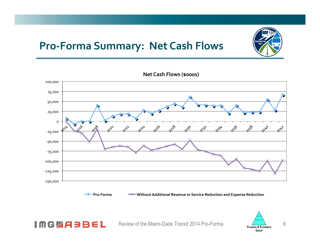#### **Pro-Forma Summary: Net Cash Flows**



**Net Cash Flows (\$000s)** 



**IMGWABBEL** 

**Pro-Forma**  $\rightarrow\rightarrow\rightarrow\rightarrow$  Without Additional Revenue or Service Reduction and Expense Reduction

Review of the Miami-Dade Transit 2014 Pro-Forma PLANNING & ECONOMICS 6 **GROUP**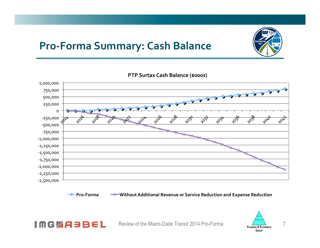## **Pro-Forma Summary: Cash Balance**



**PTP Surtax Cash Balance (\$000s)** 



**IMGWABBEL** 

**Pro-Forma**  $\rightarrow$  Without Additional Revenue or Service Reduction and Expense Reduction



Review of the Miami-Dade Transit 2014 Pro-Forma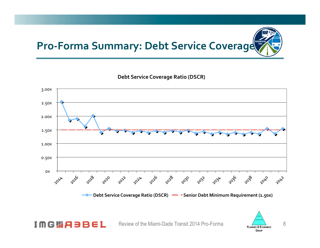# **Pro-Forma Summary: Debt Service Coverage**

**Debt Service Coverage Ratio (DSCR)** 



**IMGWABBEL** 

Review of the Miami-Dade Transit 2014 Pro-Forma PLANNING & ECONOMICS 8

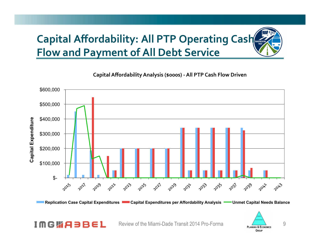# **Capital Affordability: All PTP Operating Cash Flow and Payment of All Debt Service**

 \$600,000 \$500,000 **Capital Expenditure**  \$400,000 Capital Expenditure \$300,000 \$200,000 \$100,000  $S-$ 2019 2025 2021 2029 201x3 2015 2021 2021 2023 2033 2035 2031 2039 **2012** 2032

Capital Affordability Analysis (\$000s) - All PTP Cash Flow Driven

**Replication Case Capital Expenditures Capital Expenditures per Affordability Analysis Commet Capital Needs Balance** 

Review of the Miami-Dade Transit 2014 Pro-Forma

**IMG脂ABBEL** 

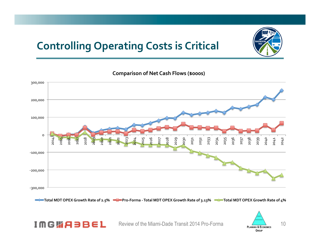## **Controlling Operating Costs is Critical**





**Comparison of Net Cash Flows (\$000s)** 

Total MDT OPEX Growth Rate of 2.5% **EXECTOR ALGORY GROWTA PROT OPEX Growth Rate of 3.13% EXECTORAL MDT OPEX Growth Rate of 4%** 

**IMGWABBEL** 

Review of the Miami-Dade Transit 2014 Pro-Forma PLANNING & ECONOMICS 10

GROUP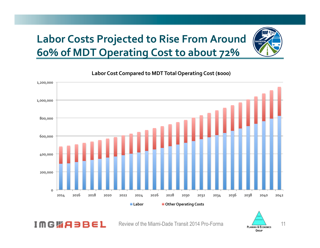## **Labor Costs Projected to Rise From Around 60% of MDT Operating Cost to about 72%**



Labor Cost Compared to MDT Total Operating Cost (\$000)

GROUP

Review of the Miami-Dade Transit 2014 Pro-Forma

**IMG脂A3BEL**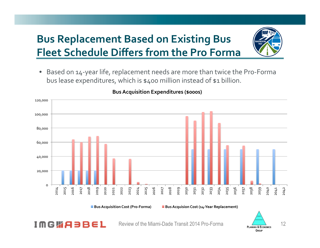## **Bus Replacement Based on Existing Bus Fleet Schedule Differs from the Pro Forma**



• Based on 14-year life, replacement needs are more than twice the Pro-Forma bus lease expenditures, which is \$400 million instead of \$1 billion.



#### **Bus Acquisition Expenditures (\$000s)**

**IMGWABBE** 

**Bus Acquisition Cost (Pro-Forma)** Bus Acquision Cost (14-Year Replacement)



Review of the Miami-Dade Transit 2014 Pro-Forma